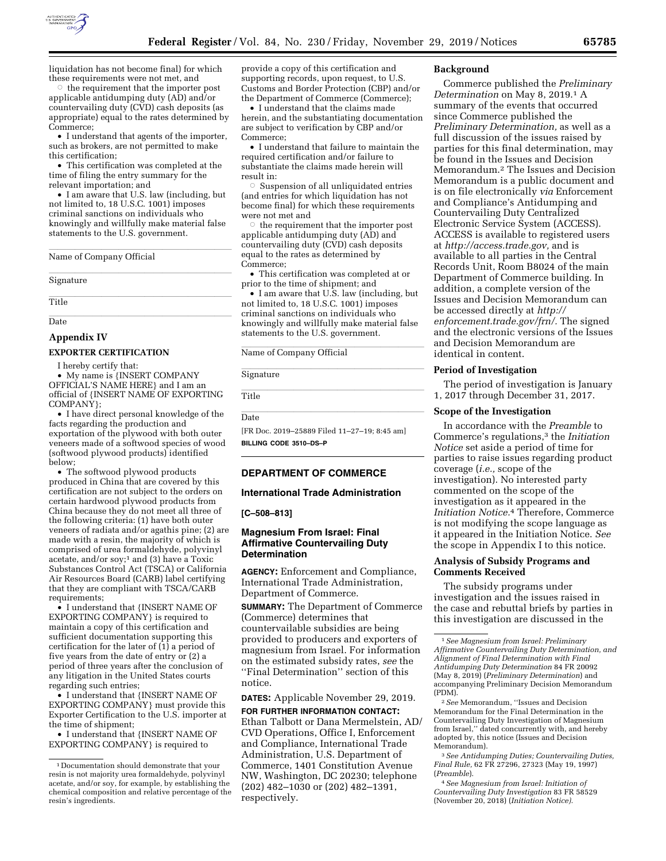

liquidation has not become final) for which these requirements were not met, and

 $\circ$  the requirement that the importer post applicable antidumping duty (AD) and/or countervailing duty (CVD) cash deposits (as appropriate) equal to the rates determined by Commerce;

• I understand that agents of the importer, such as brokers, are not permitted to make this certification;

• This certification was completed at the time of filing the entry summary for the relevant importation; and

• I am aware that U.S. law (including, but not limited to, 18 U.S.C. 1001) imposes criminal sanctions on individuals who knowingly and willfully make material false statements to the U.S. government.

Name of Company Official

llillandi.<br>Cimistus Signature

**Title** Title Date

# **Appendix IV**

## **EXPORTER CERTIFICATION**

I hereby certify that:

• My name is {INSERT COMPANY OFFICIAL'S NAME HERE} and I am an official of {INSERT NAME OF EXPORTING COMPANY};

lllllllllllllllllllll

• I have direct personal knowledge of the facts regarding the production and exportation of the plywood with both outer veneers made of a softwood species of wood (softwood plywood products) identified below;

• The softwood plywood products produced in China that are covered by this certification are not subject to the orders on certain hardwood plywood products from China because they do not meet all three of the following criteria: (1) have both outer veneers of radiata and/or agathis pine; (2) are made with a resin, the majority of which is comprised of urea formaldehyde, polyvinyl acetate, and/or soy;1 and (3) have a Toxic Substances Control Act (TSCA) or California Air Resources Board (CARB) label certifying that they are compliant with TSCA/CARB requirements;

• I understand that {INSERT NAME OF EXPORTING COMPANY} is required to maintain a copy of this certification and sufficient documentation supporting this certification for the later of (1) a period of five years from the date of entry or (2) a period of three years after the conclusion of any litigation in the United States courts regarding such entries;

• I understand that {INSERT NAME OF EXPORTING COMPANY} must provide this Exporter Certification to the U.S. importer at the time of shipment;

• I understand that {INSERT NAME OF EXPORTING COMPANY} is required to

provide a copy of this certification and supporting records, upon request, to U.S. Customs and Border Protection (CBP) and/or the Department of Commerce (Commerce);

• I understand that the claims made herein, and the substantiating documentation are subject to verification by CBP and/or Commerce;

• I understand that failure to maintain the required certification and/or failure to substantiate the claims made herein will result in:

 $\circ$  Suspension of all unliquidated entries (and entries for which liquidation has not become final) for which these requirements were not met and

 $\circ$  the requirement that the importer post applicable antidumping duty (AD) and countervailing duty (CVD) cash deposits equal to the rates as determined by Commerce;

• This certification was completed at or prior to the time of shipment; and

• I am aware that U.S. law (including, but not limited to, 18 U.S.C. 1001) imposes criminal sanctions on individuals who knowingly and willfully make material false statements to the U.S. government.

Name of Company Official

**Signature Signature** 

<u>llarith</u> Title

**Date** Date

[FR Doc. 2019–25889 Filed 11–27–19; 8:45 am] **BILLING CODE 3510–DS–P** 

# **DEPARTMENT OF COMMERCE**

#### **International Trade Administration**

#### **[C–508–813]**

# **Magnesium From Israel: Final Affirmative Countervailing Duty Determination**

**AGENCY:** Enforcement and Compliance, International Trade Administration, Department of Commerce.

**SUMMARY:** The Department of Commerce (Commerce) determines that countervailable subsidies are being provided to producers and exporters of magnesium from Israel. For information on the estimated subsidy rates, *see* the ''Final Determination'' section of this notice.

**DATES:** Applicable November 29, 2019.

**FOR FURTHER INFORMATION CONTACT:**  Ethan Talbott or Dana Mermelstein, AD/ CVD Operations, Office I, Enforcement and Compliance, International Trade Administration, U.S. Department of Commerce, 1401 Constitution Avenue NW, Washington, DC 20230; telephone (202) 482–1030 or (202) 482–1391, respectively.

#### **Background**

Commerce published the *Preliminary Determination* on May 8, 2019.1 A summary of the events that occurred since Commerce published the *Preliminary Determination,* as well as a full discussion of the issues raised by parties for this final determination, may be found in the Issues and Decision Memorandum.2 The Issues and Decision Memorandum is a public document and is on file electronically *via* Enforcement and Compliance's Antidumping and Countervailing Duty Centralized Electronic Service System (ACCESS). ACCESS is available to registered users at *[http://access.trade.gov,](http://access.trade.gov)* and is available to all parties in the Central Records Unit, Room B8024 of the main Department of Commerce building. In addition, a complete version of the Issues and Decision Memorandum can be accessed directly at *[http://](http://enforcement.trade.gov/frn/) [enforcement.trade.gov/frn/.](http://enforcement.trade.gov/frn/)* The signed and the electronic versions of the Issues and Decision Memorandum are identical in content.

## **Period of Investigation**

The period of investigation is January 1, 2017 through December 31, 2017.

# **Scope of the Investigation**

In accordance with the *Preamble* to Commerce's regulations,3 the *Initiation Notice* set aside a period of time for parties to raise issues regarding product coverage (*i.e.,* scope of the investigation). No interested party commented on the scope of the investigation as it appeared in the *Initiation Notice.*4 Therefore, Commerce is not modifying the scope language as it appeared in the Initiation Notice. *See*  the scope in Appendix I to this notice.

# **Analysis of Subsidy Programs and Comments Received**

The subsidy programs under investigation and the issues raised in the case and rebuttal briefs by parties in this investigation are discussed in the

2*See* Memorandum, ''Issues and Decision Memorandum for the Final Determination in the Countervailing Duty Investigation of Magnesium from Israel,'' dated concurrently with, and hereby adopted by, this notice (Issues and Decision Memorandum).

3*See Antidumping Duties; Countervailing Duties, Final Rule,* 62 FR 27296, 27323 (May 19, 1997) (*Preamble*).

4*See Magnesium from Israel: Initiation of Countervailing Duty Investigation* 83 FR 58529 (November 20, 2018) (*Initiation Notice).* 

<sup>1</sup> Documentation should demonstrate that your resin is not majority urea formaldehyde, polyvinyl acetate, and/or soy, for example, by establishing the chemical composition and relative percentage of the resin's ingredients.

<sup>1</sup>*See Magnesium from Israel: Preliminary Affirmative Countervailing Duty Determination, and Alignment of Final Determination with Final Antidumping Duty Determination* 84 FR 20092 (May 8, 2019) (*Preliminary Determination*) and accompanying Preliminary Decision Memorandum (PDM).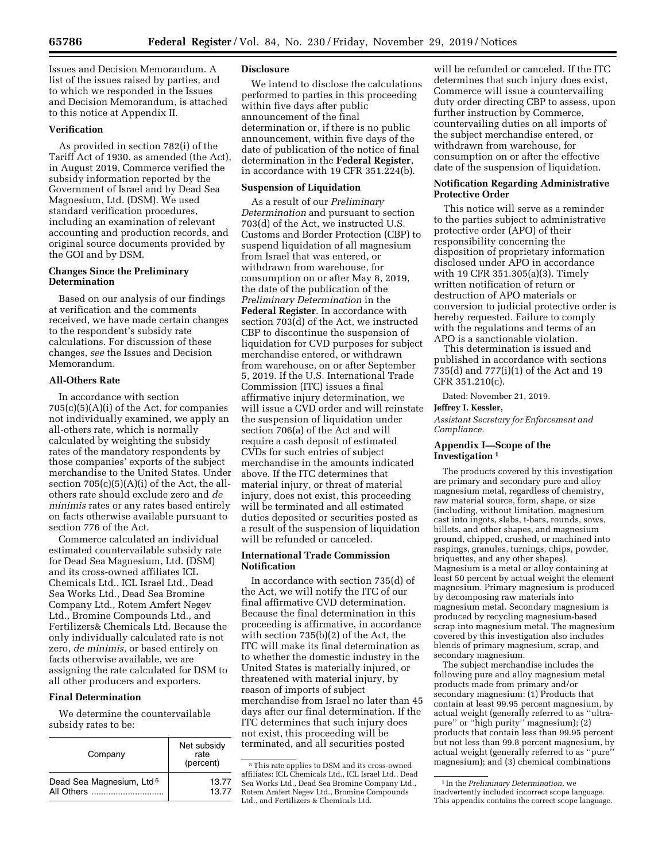Issues and Decision Memorandum. A list of the issues raised by parties, and to which we responded in the Issues and Decision Memorandum, is attached to this notice at Appendix II.

## **Verification**

As provided in section 782(i) of the Tariff Act of 1930, as amended (the Act), in August 2019, Commerce verified the subsidy information reported by the Government of Israel and by Dead Sea Magnesium, Ltd. (DSM). We used standard verification procedures, including an examination of relevant accounting and production records, and original source documents provided by the GOI and by DSM.

#### **Changes Since the Preliminary Determination**

Based on our analysis of our findings at verification and the comments received, we have made certain changes to the respondent's subsidy rate calculations. For discussion of these changes, *see* the Issues and Decision Memorandum.

# **All-Others Rate**

In accordance with section  $705(c)(5)(A)(i)$  of the Act, for companies not individually examined, we apply an all-others rate, which is normally calculated by weighting the subsidy rates of the mandatory respondents by those companies' exports of the subject merchandise to the United States. Under section  $705(c)(5)(A)(i)$  of the Act, the allothers rate should exclude zero and *de minimis* rates or any rates based entirely on facts otherwise available pursuant to section 776 of the Act.

Commerce calculated an individual estimated countervailable subsidy rate for Dead Sea Magnesium, Ltd. (DSM) and its cross-owned affiliates ICL Chemicals Ltd., ICL Israel Ltd., Dead Sea Works Ltd., Dead Sea Bromine Company Ltd., Rotem Amfert Negev Ltd., Bromine Compounds Ltd., and Fertilizers& Chemicals Ltd. Because the only individually calculated rate is not zero, *de minimis,* or based entirely on facts otherwise available, we are assigning the rate calculated for DSM to all other producers and exporters.

## **Final Determination**

We determine the countervailable subsidy rates to be:

| Company                              | Net subsidy<br>rate<br>(percent) |
|--------------------------------------|----------------------------------|
| Dead Sea Magnesium, Ltd <sup>5</sup> | 13.77                            |
| All Others                           | 13.77                            |

## **Disclosure**

We intend to disclose the calculations performed to parties in this proceeding within five days after public announcement of the final determination or, if there is no public announcement, within five days of the date of publication of the notice of final determination in the **Federal Register**, in accordance with 19 CFR 351.224(b).

#### **Suspension of Liquidation**

As a result of our *Preliminary Determination* and pursuant to section 703(d) of the Act, we instructed U.S. Customs and Border Protection (CBP) to suspend liquidation of all magnesium from Israel that was entered, or withdrawn from warehouse, for consumption on or after May 8, 2019, the date of the publication of the *Preliminary Determination* in the **Federal Register**. In accordance with section 703(d) of the Act, we instructed CBP to discontinue the suspension of liquidation for CVD purposes for subject merchandise entered, or withdrawn from warehouse, on or after September 5, 2019. If the U.S. International Trade Commission (ITC) issues a final affirmative injury determination, we will issue a CVD order and will reinstate the suspension of liquidation under section 706(a) of the Act and will require a cash deposit of estimated CVDs for such entries of subject merchandise in the amounts indicated above. If the ITC determines that material injury, or threat of material injury, does not exist, this proceeding will be terminated and all estimated duties deposited or securities posted as a result of the suspension of liquidation will be refunded or canceled.

# **International Trade Commission Notification**

In accordance with section 735(d) of the Act, we will notify the ITC of our final affirmative CVD determination. Because the final determination in this proceeding is affirmative, in accordance with section 735(b)(2) of the Act, the ITC will make its final determination as to whether the domestic industry in the United States is materially injured, or threatened with material injury, by reason of imports of subject merchandise from Israel no later than 45 days after our final determination. If the ITC determines that such injury does not exist, this proceeding will be terminated, and all securities posted

will be refunded or canceled. If the ITC determines that such injury does exist, Commerce will issue a countervailing duty order directing CBP to assess, upon further instruction by Commerce, countervailing duties on all imports of the subject merchandise entered, or withdrawn from warehouse, for consumption on or after the effective date of the suspension of liquidation.

## **Notification Regarding Administrative Protective Order**

This notice will serve as a reminder to the parties subject to administrative protective order (APO) of their responsibility concerning the disposition of proprietary information disclosed under APO in accordance with 19 CFR 351.305(a)(3). Timely written notification of return or destruction of APO materials or conversion to judicial protective order is hereby requested. Failure to comply with the regulations and terms of an APO is a sanctionable violation.

This determination is issued and published in accordance with sections 735(d) and 777(i)(1) of the Act and 19 CFR 351.210(c).

Dated: November 21, 2019.

# **Jeffrey I. Kessler,**

*Assistant Secretary for Enforcement and Compliance.* 

# **Appendix I—Scope of the Investigation 1**

The products covered by this investigation are primary and secondary pure and alloy magnesium metal, regardless of chemistry, raw material source, form, shape, or size (including, without limitation, magnesium cast into ingots, slabs, t-bars, rounds, sows, billets, and other shapes, and magnesium ground, chipped, crushed, or machined into raspings, granules, turnings, chips, powder, briquettes, and any other shapes). Magnesium is a metal or alloy containing at least 50 percent by actual weight the element magnesium. Primary magnesium is produced by decomposing raw materials into magnesium metal. Secondary magnesium is produced by recycling magnesium-based scrap into magnesium metal. The magnesium covered by this investigation also includes blends of primary magnesium, scrap, and secondary magnesium.

The subject merchandise includes the following pure and alloy magnesium metal products made from primary and/or secondary magnesium: (1) Products that contain at least 99.95 percent magnesium, by actual weight (generally referred to as ''ultrapure'' or ''high purity'' magnesium); (2) products that contain less than 99.95 percent but not less than 99.8 percent magnesium, by actual weight (generally referred to as ''pure'' magnesium); and (3) chemical combinations

<sup>5</sup>This rate applies to DSM and its cross-owned affiliates: ICL Chemicals Ltd., ICL Israel Ltd., Dead Sea Works Ltd., Dead Sea Bromine Company Ltd., Rotem Amfert Negev Ltd., Bromine Compounds Ltd., and Fertilizers & Chemicals Ltd.

<sup>1</sup> In the *Preliminary Determination,* we inadvertently included incorrect scope language. This appendix contains the correct scope language.